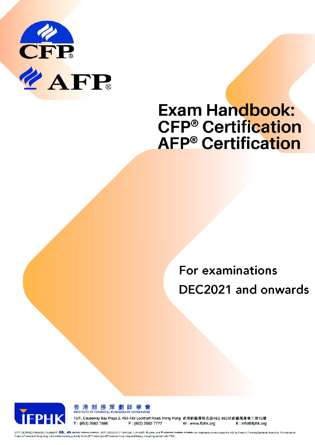

# **Exam Handbook: CFP<sup>®</sup> Certification AFP<sup>®</sup>** Certification

For examinations DEC2021 and onwards





13/F, Causeway Bay Plaza 2, 463-483 Lockhart Road, Hong Kong 香港銅鑼灣路克道463-483號銅鑼灣廣場二期13樓 T: (852) 2982 7888 F: (852) 2982 7777

W: www.ifphk.org E: info@ifphk.org

CFP®, CERTIFIED FINANCIAL PLANNER®, CRITELO FINANCIAL PLANNER®, AFP®, ASSOCIATE FINANCIAL FLANNER®, and @ ASSOCIATE FINANCIAL PLANNER® are trademarks owned cutside ith U.S. by Financial Panning Standards Board Ltd. The Ins Financial Planners of Hong Kong is the marks licensing suthority for the CFP marks and AFP marks in Hong Kong and Macsu, through agreement with FPSB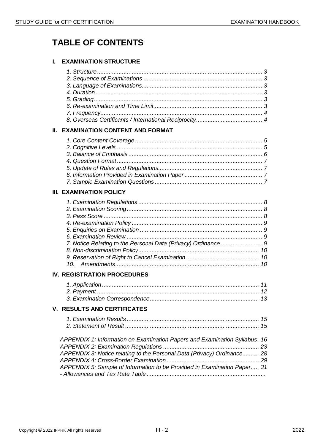# **TABLE OF CONTENTS**

# **I. EXAMINATION STRUCTURE**

| II. | <b>EXAMINATION CONTENT AND FORMAT</b>                                      |  |
|-----|----------------------------------------------------------------------------|--|
|     |                                                                            |  |
|     |                                                                            |  |
|     |                                                                            |  |
|     |                                                                            |  |
|     |                                                                            |  |
|     |                                                                            |  |
|     |                                                                            |  |
|     | <b>III. EXAMINATION POLICY</b>                                             |  |
|     |                                                                            |  |
|     |                                                                            |  |
|     |                                                                            |  |
|     |                                                                            |  |
|     |                                                                            |  |
|     |                                                                            |  |
|     | 7. Notice Relating to the Personal Data (Privacy) Ordinance  9             |  |
|     |                                                                            |  |
|     |                                                                            |  |
|     |                                                                            |  |
|     | IV. REGISTRATION PROCEDURES                                                |  |
|     |                                                                            |  |
|     |                                                                            |  |
|     |                                                                            |  |
|     | V.   RESULTS AND CERTIFICATES                                              |  |
|     |                                                                            |  |
|     |                                                                            |  |
|     |                                                                            |  |
|     | APPENDIX 1: Information on Examination Papers and Examination Syllabus. 16 |  |
|     |                                                                            |  |
|     | APPENDIX 3: Notice relating to the Personal Data (Privacy) Ordinance 28    |  |
|     | APPENDIX 5: Sample of Information to be Provided in Examination Paper 31   |  |
|     |                                                                            |  |
|     |                                                                            |  |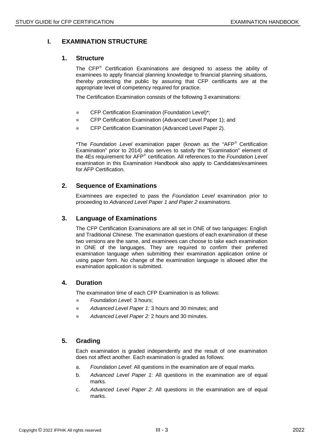# **I. EXAMINATION STRUCTURE**

#### **1. Structure**

The CFP<sup>®</sup> Certification Examinations are designed to assess the ability of examinees to apply financial planning knowledge to financial planning situations, thereby protecting the public by assuring that CFP certificants are at the appropriate level of competency required for practice.

The Certification Examination consists of the following 3 examinations:

- CFP Certification Examination (Foundation Level)\*;
- CFP Certification Examination (Advanced Level Paper 1); and
- CFP Certification Examination (Advanced Level Paper 2).

\*The *Foundation Level* examination paper (known as the "AFP® Certification Examination" prior to 2014) also serves to satisfy the "Examination" element of the 4Es requirement for AFP<sup>®</sup> certification. All references to the *Foundation Level* examination in this Examination Handbook also apply to Candidates/examinees for AFP Certification.

#### **2. Sequence of Examinations**

Examinees are expected to pass the *Foundation Level* examination prior to proceeding to *Advanced Level Paper 1 and Paper 2 examinations*.

# **3. Language of Examinations**

The CFP Certification Examinations are all set in ONE of two languages: English and Traditional Chinese. The examination questions of each examination of these two versions are the same, and examinees can choose to take each examination in ONE of the languages. They are required to confirm their preferred examination language when submitting their examination application online or using paper form. No change of the examination language is allowed after the examination application is submitted.

# **4. Duration**

The examination time of each CFP Examination is as follows:

- **Foundation Level: 3 hours;**
- Advanced Level Paper 1: 3 hours and 30 minutes; and
- *Advanced Level Paper 2:* 2 hours and 30 minutes.

#### **5. Grading**

Each examination is graded independently and the result of one examination does not affect another. Each examination is graded as follows:

- a. *Foundation Level*: All questions in the examination are of equal marks.
- b. *Advanced Level Paper 1*: All questions in the examination are of equal marks.
- c. *Advanced Level Paper 2*: All questions in the examination are of equal marks.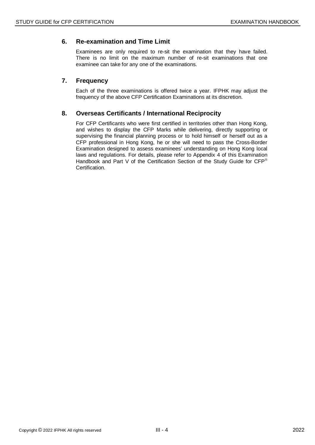# **6. Re-examination and Time Limit**

Examinees are only required to re-sit the examination that they have failed. There is no limit on the maximum number of re-sit examinations that one examinee can take for any one of the examinations.

# **7. Frequency**

Each of the three examinations is offered twice a year. IFPHK may adjust the frequency of the above CFP Certification Examinations at its discretion.

#### **8. Overseas Certificants / International Reciprocity**

For CFP Certificants who were first certified in territories other than Hong Kong, and wishes to display the CFP Marks while delivering, directly supporting or supervising the financial planning process or to hold himself or herself out as a CFP professional in Hong Kong, he or she will need to pass the Cross-Border Examination designed to assess examinees' understanding on Hong Kong local laws and regulations. For details, please refer to Appendix 4 of this Examination Handbook and Part V of the Certification Section of the Study Guide for CFP® Certification.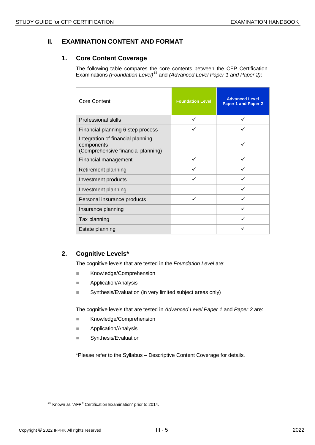# **II. EXAMINATION CONTENT AND FORMAT**

#### **1. Core Content Coverage**

The following table compares the core contents between the CFP Certification Examinations (Foundation Level)<sup>[14](#page-4-0)</sup> and (Advanced Level Paper 1 and Paper 2):

| <b>Core Content</b>                                                                   | <b>Foundation Level</b> | <b>Advanced Level</b><br>Paper 1 and Paper 2 |
|---------------------------------------------------------------------------------------|-------------------------|----------------------------------------------|
| <b>Professional skills</b>                                                            | ✓                       |                                              |
| Financial planning 6-step process                                                     |                         |                                              |
| Integration of financial planning<br>components<br>(Comprehensive financial planning) |                         |                                              |
| Financial management                                                                  | ✓                       | ✓                                            |
| Retirement planning                                                                   |                         |                                              |
| Investment products                                                                   | ✓                       | ✓                                            |
| Investment planning                                                                   |                         |                                              |
| Personal insurance products                                                           | ✓                       |                                              |
| Insurance planning                                                                    |                         |                                              |
| Tax planning                                                                          |                         |                                              |
| Estate planning                                                                       |                         |                                              |

# **2. Cognitive Levels\***

The cognitive levels that are tested in the *Foundation Level* are:

- **Knowledge/Comprehension**
- **Application/Analysis**
- Synthesis/Evaluation (in very limited subject areas only)

The cognitive levels that are tested in *Advanced Level Paper 1* and *Paper 2* are:

- **Knowledge/Comprehension**
- **Application/Analysis**
- Synthesis/Evaluation

\*Please refer to the Syllabus – Descriptive Content Coverage for details.

<span id="page-4-0"></span> $\overline{a}$  $14$  Known as "AFP® Certification Examination" prior to 2014.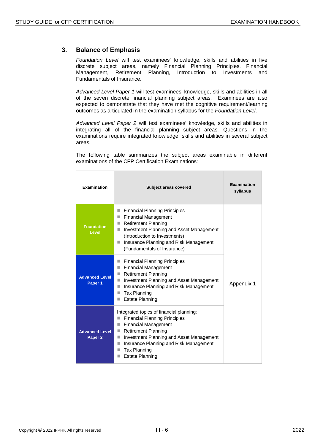# **3. Balance of Emphasis**

*Foundation Level* will test examinees' knowledge, skills and abilities in five discrete subject areas, namely Financial Planning Principles, Financial Management, Retirement Planning, Introduction to Investments and Fundamentals of Insurance.

*Advanced Level Paper 1* will test examinees' knowledge, skills and abilities in all of the seven discrete financial planning subject areas. Examinees are also expected to demonstrate that they have met the cognitive requirement/learning outcomes as articulated in the examination syllabus for the *Foundation Level*.

*Advanced Level Paper 2* will test examinees' knowledge, skills and abilities in integrating all of the financial planning subject areas. Questions in the examinations require integrated knowledge, skills and abilities in several subject areas.

The following table summarizes the subject areas examinable in different examinations of the CFP Certification Examinations:

| Examination                                 | Subject areas covered                                                                                                                                                                                                                                                                                     | Examination<br>syllabus |
|---------------------------------------------|-----------------------------------------------------------------------------------------------------------------------------------------------------------------------------------------------------------------------------------------------------------------------------------------------------------|-------------------------|
| <b>Foundation</b><br>Level                  | <b>Financial Planning Principles</b><br>ш<br><b>Financial Management</b><br>a a<br><b>Retirement Planning</b><br>п<br>Investment Planning and Asset Management<br>п<br>(Introduction to Investments)<br>Insurance Planning and Risk Management<br>П<br>(Fundamentals of Insurance)                        |                         |
| <b>Advanced Level</b><br>Paper 1            | <b>Financial Planning Principles</b><br>a a<br><b>Financial Management</b><br>a a<br><b>Retirement Planning</b><br>m.<br>Investment Planning and Asset Management<br>п<br>Insurance Planning and Risk Management<br>ш<br><b>Tax Planning</b><br><b>Estate Planning</b>                                    | Appendix 1              |
| <b>Advanced Level</b><br>Paper <sub>2</sub> | Integrated topics of financial planning:<br><b>Financial Planning Principles</b><br><b>Financial Management</b><br>ш<br>Retirement Planning<br>m.<br>Investment Planning and Asset Management<br>٠<br>Insurance Planning and Risk Management<br>m.<br><b>Tax Planning</b><br>m.<br><b>Estate Planning</b> |                         |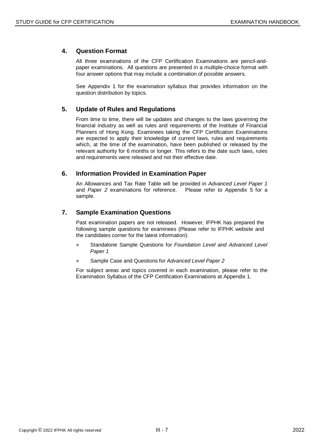## **4. Question Format**

All three examinations of the CFP Certification Examinations are pencil-andpaper examinations. All questions are presented in a multiple-choice format with four answer options that may include a combination of possible answers.

See Appendix 1 for the examination syllabus that provides information on the question distribution by topics.

#### **5. Update of Rules and Regulations**

From time to time, there will be updates and changes to the laws governing the financial industry as well as rules and requirements of the Institute of Financial Planners of Hong Kong. Examinees taking the CFP Certification Examinations are expected to apply their knowledge of current laws, rules and requirements which, at the time of the examination, have been published or released by the relevant authority for 6 months or longer. This refers to the date such laws, rules and requirements were released and not their effective date.

#### **6. Information Provided in Examination Paper**

An Allowances and Tax Rate Table will be provided in *Advanced Level Paper 1* and *Paper 2* examinations for reference. Please refer to Appendix 5 for a sample.

# **7. Sample Examination Questions**

Past examination papers are not released. However, IFPHK has prepared the following sample questions for examinees (Please refer to IFPHK website and the candidates corner for the latest information):

- Standalone Sample Questions for *Foundation Level and Advanced Level Paper 1*
- Sample Case and Questions for *Advanced Level Paper 2*

For subject areas and topics covered in each examination, please refer to the Examination Syllabus of the CFP Certification Examinations at Appendix 1.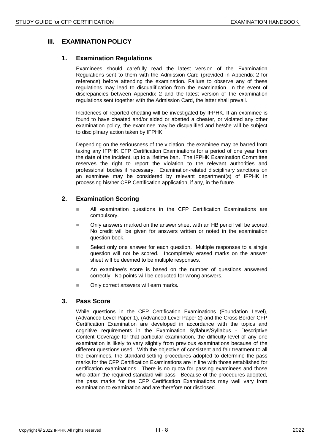# **III. EXAMINATION POLICY**

#### **1. Examination Regulations**

Examinees should carefully read the latest version of the Examination Regulations sent to them with the Admission Card (provided in Appendix 2 for reference) before attending the examination. Failure to observe any of these regulations may lead to disqualification from the examination. In the event of discrepancies between Appendix 2 and the latest version of the examination regulations sent together with the Admission Card, the latter shall prevail.

Incidences of reported cheating will be investigated by IFPHK. If an examinee is found to have cheated and/or aided or abetted a cheater, or violated any other examination policy, the examinee may be disqualified and he/she will be subject to disciplinary action taken by IFPHK.

Depending on the seriousness of the violation, the examinee may be barred from taking any IFPHK CFP Certification Examinations for a period of one year from the date of the incident, up to a lifetime ban. The IFPHK Examination Committee reserves the right to report the violation to the relevant authorities and professional bodies if necessary. Examination-related disciplinary sanctions on an examinee may be considered by relevant department(s) of IFPHK in processing his/her CFP Certification application, if any, in the future.

# **2. Examination Scoring**

- All examination questions in the CFP Certification Examinations are compulsory.
- Only answers marked on the answer sheet with an HB pencil will be scored. No credit will be given for answers written or noted in the examination question book.
- Select only one answer for each question. Multiple responses to a single question will not be scored. Incompletely erased marks on the answer sheet will be deemed to be multiple responses.
- An examinee's score is based on the number of questions answered correctly. No points will be deducted for wrong answers.
- Only correct answers will earn marks.

#### **3. Pass Score**

While questions in the CFP Certification Examinations (Foundation Level), (Advanced Level Paper 1), (Advanced Level Paper 2) and the Cross Border CFP Certification Examination are developed in accordance with the topics and cognitive requirements in the Examination Syllabus/Syllabus - Descriptive Content Coverage for that particular examination, the difficulty level of any one examination is likely to vary slightly from previous examinations because of the different questions used. With the objective of consistent and fair treatment to all the examinees, the standard-setting procedures adopted to determine the pass marks for the CFP Certification Examinations are in line with those established for certification examinations. There is no quota for passing examinees and those who attain the required standard will pass. Because of the procedures adopted, the pass marks for the CFP Certification Examinations may well vary from examination to examination and are therefore not disclosed.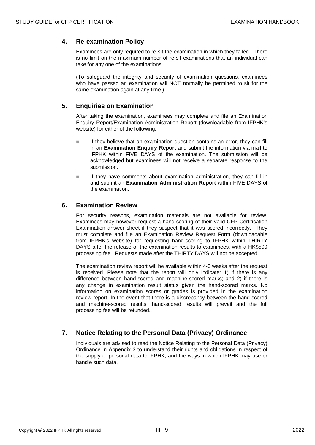## **4. Re-examination Policy**

Examinees are only required to re-sit the examination in which they failed. There is no limit on the maximum number of re-sit examinations that an individual can take for any one of the examinations.

(To safeguard the integrity and security of examination questions, examinees who have passed an examination will NOT normally be permitted to sit for the same examination again at any time.)

# **5. Enquiries on Examination**

After taking the examination, examinees may complete and file an Examination Enquiry Report/Examination Administration Report (downloadable from IFPHK's website) for either of the following:

- $\blacksquare$  If they believe that an examination question contains an error, they can fill in an **Examination Enquiry Report** and submit the information via mail to IFPHK within FIVE DAYS of the examination. The submission will be acknowledged but examinees will not receive a separate response to the submission.
- If they have comments about examination administration, they can fill in and submit an **Examination Administration Report** within FIVE DAYS of the examination.

#### **6. Examination Review**

For security reasons, examination materials are not available for review. Examinees may however request a hand-scoring of their valid CFP Certification Examination answer sheet if they suspect that it was scored incorrectly. They must complete and file an Examination Review Request Form (downloadable from IFPHK's website) for requesting hand-scoring to IFPHK within THIRTY DAYS after the release of the examination results to examinees, with a HK\$500 processing fee. Requests made after the THIRTY DAYS will not be accepted.

The examination review report will be available within 4-6 weeks after the request is received. Please note that the report will only indicate: 1) if there is any difference between hand-scored and machine-scored marks; and 2) if there is any change in examination result status given the hand-scored marks. No information on examination scores or grades is provided in the examination review report. In the event that there is a discrepancy between the hand-scored and machine-scored results, hand-scored results will prevail and the full processing fee will be refunded.

# **7. Notice Relating to the Personal Data (Privacy) Ordinance**

Individuals are advised to read the Notice Relating to the Personal Data (Privacy) Ordinance in Appendix 3 to understand their rights and obligations in respect of the supply of personal data to IFPHK, and the ways in which IFPHK may use or handle such data.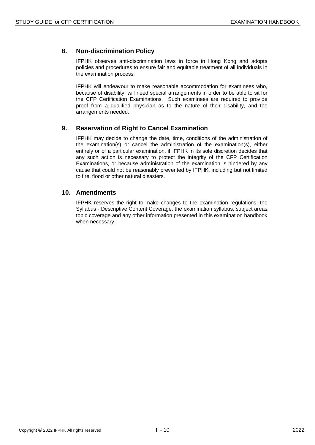# **8. Non-discrimination Policy**

IFPHK observes anti-discrimination laws in force in Hong Kong and adopts policies and procedures to ensure fair and equitable treatment of all individuals in the examination process.

IFPHK will endeavour to make reasonable accommodation for examinees who, because of disability, will need special arrangements in order to be able to sit for the CFP Certification Examinations. Such examinees are required to provide proof from a qualified physician as to the nature of their disability, and the arrangements needed.

#### **9. Reservation of Right to Cancel Examination**

IFPHK may decide to change the date, time, conditions of the administration of the examination(s) or cancel the administration of the examination(s), either entirely or of a particular examination, if IFPHK in its sole discretion decides that any such action is necessary to protect the integrity of the CFP Certification Examinations, or because administration of the examination is hindered by any cause that could not be reasonably prevented by IFPHK, including but not limited to fire, flood or other natural disasters.

#### **10. Amendments**

IFPHK reserves the right to make changes to the examination regulations, the Syllabus - Descriptive Content Coverage, the examination syllabus, subject areas, topic coverage and any other information presented in this examination handbook when necessary.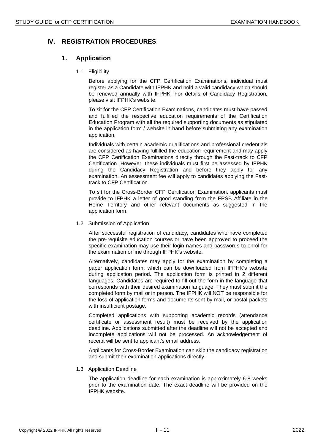# **IV. REGISTRATION PROCEDURES**

#### **1. Application**

1.1 Eligibility

Before applying for the CFP Certification Examinations, individual must register as a Candidate with IFPHK and hold a valid candidacy which should be renewed annually with IFPHK. For details of Candidacy Registration, please visit IFPHK's website.

To sit for the CFP Certification Examinations, candidates must have passed and fulfilled the respective education requirements of the Certification Education Program with all the required supporting documents as stipulated in the application form / website in hand before submitting any examination application.

Individuals with certain academic qualifications and professional credentials are considered as having fulfilled the education requirement and may apply the CFP Certification Examinations directly through the Fast-track to CFP Certification. However, these individuals must first be assessed by IFPHK during the Candidacy Registration and before they apply for any examination. An assessment fee will apply to candidates applying the Fasttrack to CFP Certification.

To sit for the Cross-Border CFP Certification Examination, applicants must provide to IFPHK a letter of good standing from the FPSB Affiliate in the Home Territory and other relevant documents as suggested in the application form.

1.2 Submission of Application

After successful registration of candidacy, candidates who have completed the pre-requisite education courses or have been approved to proceed the specific examination may use their login names and passwords to enrol for the examination online through IFPHK's website.

Alternatively, candidates may apply for the examination by completing a paper application form, which can be downloaded from IFPHK's website during application period. The application form is printed in 2 different languages. Candidates are required to fill out the form in the language that corresponds with their desired examination language. They must submit the completed form by mail or in person. The IFPHK will NOT be responsible for the loss of application forms and documents sent by mail, or postal packets with insufficient postage.

Completed applications with supporting academic records (attendance certificate or assessment result) must be received by the application deadline. Applications submitted after the deadline will not be accepted and incomplete applications will not be processed. An acknowledgement of receipt will be sent to applicant's email address.

Applicants for Cross-Border Examination can skip the candidacy registration and submit their examination applications directly.

1.3 Application Deadline

The application deadline for each examination is approximately 6-8 weeks prior to the examination date. The exact deadline will be provided on the IFPHK website.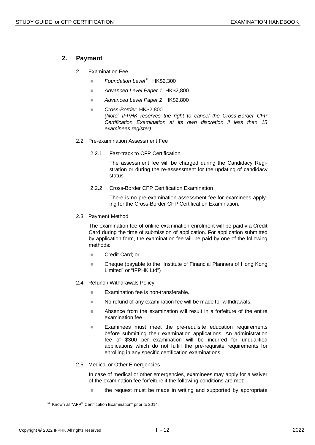#### **2. Payment**

- 2.1 Examination Fee
	- *Foundation Level[15](#page-11-0)*: HK\$2,300
	- *Advanced Level Paper 1*: HK\$2,800
	- *Advanced Level Paper 2*: HK\$2,800
	- *Cross-Border*: HK\$2,800 *(Note: IFPHK reserves the right to cancel the Cross-Border CFP Certification Examination at its own discretion if less than 15 examinees register)*
- 2.2 Pre-examination Assessment Fee
	- 2.2.1 Fast-track to CFP Certification

The assessment fee will be charged during the Candidacy Registration or during the re-assessment for the updating of candidacy status.

2.2.2 Cross-Border CFP Certification Examination

There is no pre-examination assessment fee for examinees applying for the Cross-Border CFP Certification Examination.

#### 2.3 Payment Method

The examination fee of online examination enrolment will be paid via Credit Card during the time of submission of application. For application submitted by application form, the examination fee will be paid by one of the following methods:

- Credit Card; or
- Cheque (payable to the "Institute of Financial Planners of Hong Kong Limited" or "IFPHK Ltd")
- 2.4 Refund / Withdrawals Policy
	- **Examination fee is non-transferable.**
	- No refund of any examination fee will be made for withdrawals.
	- Absence from the examination will result in a forfeiture of the entire examination fee.
	- **Examinees must meet the pre-requisite education requirements** before submitting their examination applications. An administration fee of \$300 per examination will be incurred for unqualified applications which do not fulfill the pre-requisite requirements for enrolling in any specific certification examinations.
- 2.5 Medical or Other Emergencies

In case of medical or other emergencies, examinees may apply for a waiver of the examination fee forfeiture if the following conditions are met:

 $\blacksquare$  the request must be made in writing and supported by appropriate

<span id="page-11-0"></span> $\overline{a}$  $15$  Known as "AFP® Certification Examination" prior to 2014.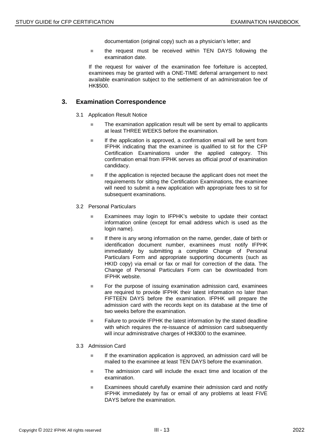documentation (original copy) such as a physician's letter; and

■ the request must be received within TEN DAYS following the examination date.

If the request for waiver of the examination fee forfeiture is accepted, examinees may be granted with a ONE-TIME deferral arrangement to next available examination subject to the settlement of an administration fee of HK\$500.

#### **3. Examination Correspondence**

- 3.1 Application Result Notice
	- The examination application result will be sent by email to applicants at least THREE WEEKS before the examination.
	- $\blacksquare$  If the application is approved, a confirmation email will be sent from IFPHK indicating that the examinee is qualified to sit for the CFP Certification Examinations under the applied category. This confirmation email from IFPHK serves as official proof of examination candidacy.
	- $\blacksquare$  If the application is rejected because the applicant does not meet the requirements for sitting the Certification Examinations, the examinee will need to submit a new application with appropriate fees to sit for subsequent examinations.
- 3.2 Personal Particulars
	- **Examinees may login to IFPHK's website to update their contact** information online (except for email address which is used as the login name).
	- $\blacksquare$  If there is any wrong information on the name, gender, date of birth or identification document number, examinees must notify IFPHK immediately by submitting a complete Change of Personal Particulars Form and appropriate supporting documents (such as HKID copy) via email or fax or mail for correction of the data. The Change of Personal Particulars Form can be downloaded from IFPHK website.
	- For the purpose of issuing examination admission card, examinees are required to provide IFPHK their latest information no later than FIFTEEN DAYS before the examination. IFPHK will prepare the admission card with the records kept on its database at the time of two weeks before the examination.
	- Failure to provide IFPHK the latest information by the stated deadline with which requires the re-issuance of admission card subsequently will incur administrative charges of HK\$300 to the examinee.
- 3.3 Admission Card
	- $\blacksquare$  If the examination application is approved, an admission card will be mailed to the examinee at least TEN DAYS before the examination.
	- $\blacksquare$  The admission card will include the exact time and location of the examination.
	- **Examinees should carefully examine their admission card and notify** IFPHK immediately by fax or email of any problems at least FIVE DAYS before the examination.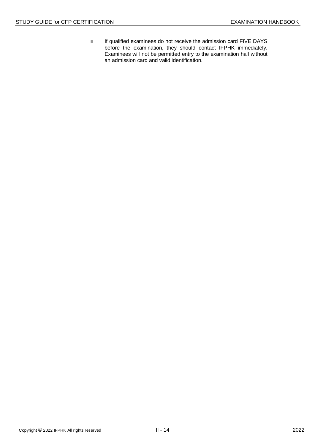**If qualified examinees do not receive the admission card FIVE DAYS** before the examination, they should contact IFPHK immediately. Examinees will not be permitted entry to the examination hall without an admission card and valid identification.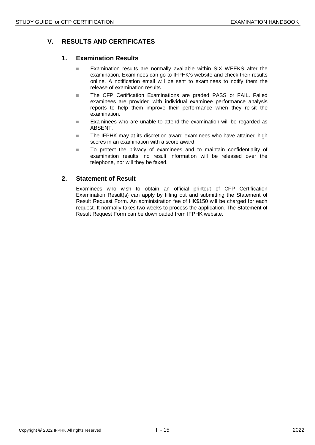# **V. RESULTS AND CERTIFICATES**

#### **1. Examination Results**

- **Examination results are normally available within SIX WEEKS after the** examination. Examinees can go to IFPHK's website and check their results online. A notification email will be sent to examinees to notify them the release of examination results.
- **The CFP Certification Examinations are graded PASS or FAIL. Failed** examinees are provided with individual examinee performance analysis reports to help them improve their performance when they re-sit the examination.
- **Examinees who are unable to attend the examination will be regarded as** ABSENT.
- The IFPHK may at its discretion award examinees who have attained high scores in an examination with a score award.
- To protect the privacy of examinees and to maintain confidentiality of examination results, no result information will be released over the telephone, nor will they be faxed.

#### **2. Statement of Result**

Examinees who wish to obtain an official printout of CFP Certification Examination Result(s) can apply by filling out and submitting the Statement of Result Request Form. An administration fee of HK\$150 will be charged for each request. It normally takes two weeks to process the application. The Statement of Result Request Form can be downloaded from IFPHK website.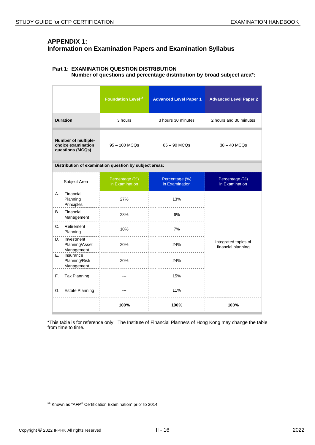# **APPENDIX 1: Information on Examination Papers and Examination Syllabus**

#### **Part 1: EXAMINATION QUESTION DISTRIBUTION Number of questions and percentage distribution by broad subject area\*:**

|                                                               |                                            | <b>Foundation Level<sup>16</sup></b>                   | <b>Advanced Level Paper 1</b>    | <b>Advanced Level Paper 2</b>              |
|---------------------------------------------------------------|--------------------------------------------|--------------------------------------------------------|----------------------------------|--------------------------------------------|
|                                                               | <b>Duration</b>                            | 3 hours                                                | 3 hours 30 minutes               | 2 hours and 30 minutes                     |
| Number of multiple-<br>choice examination<br>questions (MCQs) |                                            | 95 - 100 MCQs                                          | 85 - 90 MCQs                     | $38 - 40$ MCQs                             |
|                                                               |                                            | Distribution of examination question by subject areas: |                                  |                                            |
|                                                               | Subject Area                               | Percentage (%)<br>in Examination                       | Percentage (%)<br>in Examination | Percentage (%)<br>in Examination           |
| Α.                                                            | Financial<br>Planning<br>Principles        | 27%                                                    | 13%                              |                                            |
| В.                                                            | Financial<br>Management                    | 23%                                                    | 6%                               |                                            |
| C.                                                            | Retirement<br>Planning                     | 10%                                                    | 7%                               |                                            |
| D.                                                            | Investment<br>Planning/Asset<br>Management | 20%                                                    | 24%                              | Integrated topics of<br>financial planning |
| E.                                                            | Insurance<br>Planning/Risk<br>Management   | 20%                                                    | 24%<br>.                         |                                            |
| F.                                                            | Tax Planning                               | ---                                                    | 15%                              |                                            |
| G.                                                            | <b>Estate Planning</b>                     | $---$                                                  | 11%                              |                                            |
|                                                               |                                            | 100%                                                   | 100%                             | 100%                                       |

\*This table is for reference only. The Institute of Financial Planners of Hong Kong may change the table from time to time.

<span id="page-15-0"></span> $\overline{a}$  $16$  Known as "AFP® Certification Examination" prior to 2014.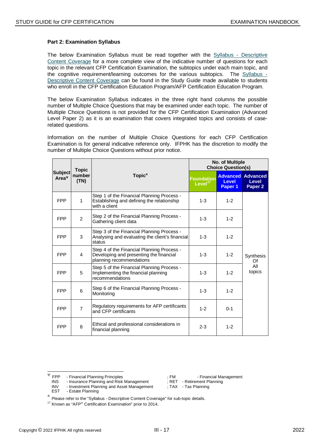#### **Part 2: Examination Syllabus**

The below Examination Syllabus must be read together with the Syllabus - Descriptive Content Coverage for a more complete view of the indicative number of questions for each topic in the relevant CFP Certification Examination, the subtopics under each main topic, and the coanitive requirement/learning outcomes for the various subtopics. The Syllabus the cognitive requirement/learning outcomes for the various subtopics. Descriptive Content Coverage can be found in the Study Guide made available to students who enroll in the CFP Certification Education Program/AFP Certification Education Program.

The below Examination Syllabus indicates in the three right hand columns the possible number of Multiple Choice Questions that may be examined under each topic. The number of Multiple Choice Questions is not provided for the CFP Certification Examination (Advanced Level Paper 2) as it is an examination that covers integrated topics and consists of caserelated questions.

Information on the number of Multiple Choice Questions for each CFP Certification Examination is for general indicative reference only. IFPHK has the discretion to modify the number of Multiple Choice Questions without prior notice.

|                                     | <b>Topic</b>   |                                                                                                                   |                                          | No. of Multiple<br><b>Choice Question(s)</b> |                                                         |
|-------------------------------------|----------------|-------------------------------------------------------------------------------------------------------------------|------------------------------------------|----------------------------------------------|---------------------------------------------------------|
| <b>Subject</b><br>Area <sup>v</sup> | number<br>(TN) | $Topic^{\pi}$                                                                                                     | <b>Foundation</b><br>Level <sup>17</sup> | <b>Level</b><br>Paper 1                      | <b>Advanced Advanced</b><br>Level<br>Paper <sub>2</sub> |
| <b>FPP</b>                          | 1              | Step 1 of the Financial Planning Process -<br>Establishing and defining the relationship<br>with a client         | $1 - 3$                                  | $1 - 2$                                      |                                                         |
| <b>FPP</b>                          | 2              | Step 2 of the Financial Planning Process -<br>Gathering client data                                               | $1 - 3$                                  | $1 - 2$                                      |                                                         |
| <b>FPP</b>                          | 3              | Step 3 of the Financial Planning Process -<br>Analysing and evaluating the client's financial<br>status           | $1 - 3$                                  | $1 - 2$                                      |                                                         |
| <b>FPP</b>                          | 4              | Step 4 of the Financial Planning Process -<br>Developing and presenting the financial<br>planning recommendations | $1 - 3$                                  | $1 - 2$                                      | Synthesis<br>Of                                         |
| <b>FPP</b>                          | 5              | Step 5 of the Financial Planning Process -<br>Implementing the financial planning<br>recommendations              | $1 - 3$                                  | $1 - 2$                                      | All<br>topics                                           |
| <b>FPP</b>                          | 6              | Step 6 of the Financial Planning Process -<br>Monitoring                                                          | $1 - 3$                                  | $1 - 2$                                      |                                                         |
| <b>FPP</b>                          | $\overline{7}$ | Regulatory requirements for AFP certificants<br>and CFP certificants                                              | $1 - 2$                                  | $0 - 1$                                      |                                                         |
| <b>FPP</b>                          | 8              | Ethical and professional considerations in<br>financial planning                                                  | $2 - 3$                                  | $1 - 2$                                      |                                                         |

<span id="page-16-0"></span><sup>&</sup>lt;sup>Ψ</sup> FPP - Financial Planning Principles ; FM - Financial Management<br>INS - Insurance Planning and Risk Management : RET - Retirement Planning - Insurance Planning and Risk Management

<sup>-</sup> Estate Planning

INV - Investment Planning and Asset Management ; TAX - Tax Planning<br>EST - Estate Planning

 $\pi$  Please refer to the "Syllabus - Descriptive Content Coverage" for sub-topic details.

 $17$  Known as "AFP<sup>®</sup> Certification Examination" prior to 2014.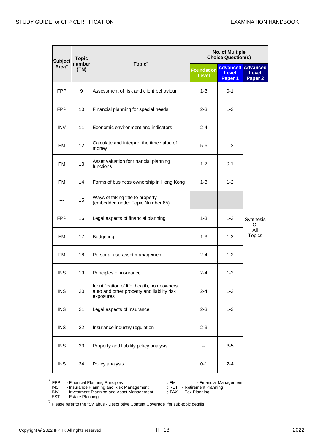| <b>Subject</b> | <b>Topic</b>   |                                                                                                        | No. of Multiple<br><b>Choice Question(s)</b> |                         |                                                                |
|----------------|----------------|--------------------------------------------------------------------------------------------------------|----------------------------------------------|-------------------------|----------------------------------------------------------------|
| Area $\Psi$    | number<br>(TN) | Topic $\pi$                                                                                            | <b>Foundation</b><br><b>Level</b>            | <b>Level</b><br>Paper 1 | <b>Advanced Advanced</b><br><b>Level</b><br>Paper <sub>2</sub> |
| <b>FPP</b>     | 9              | Assessment of risk and client behaviour                                                                | $1 - 3$                                      | $0 - 1$                 |                                                                |
| <b>FPP</b>     | 10             | Financial planning for special needs                                                                   | 2-3                                          | $1 - 2$                 |                                                                |
| <b>INV</b>     | 11             | Economic environment and indicators                                                                    | 2-4                                          | --                      |                                                                |
| <b>FM</b>      | 12             | Calculate and interpret the time value of<br>money                                                     | $5-6$                                        | $1 - 2$                 |                                                                |
| <b>FM</b>      | 13             | Asset valuation for financial planning<br>functions                                                    | $1 - 2$                                      | $0 - 1$                 |                                                                |
| <b>FM</b>      | 14             | Forms of business ownership in Hong Kong                                                               | 1-3                                          | $1 - 2$                 |                                                                |
| ---            | 15             | Ways of taking title to property<br>(embedded under Topic Number 85)                                   |                                              |                         |                                                                |
| <b>FPP</b>     | 16             | Legal aspects of financial planning                                                                    | $1 - 3$                                      | $1 - 2$                 | Synthesis<br>Of                                                |
| <b>FM</b>      | 17             | <b>Budgeting</b>                                                                                       | $1 - 3$                                      | $1 - 2$                 | All<br><b>Topics</b>                                           |
| <b>FM</b>      | 18             | Personal use-asset management                                                                          | 2-4                                          | $1 - 2$                 |                                                                |
| <b>INS</b>     | 19             | Principles of insurance                                                                                | $2 - 4$                                      | $1 - 2$                 |                                                                |
| <b>INS</b>     | 20             | Identification of life, health, homeowners,<br>auto and other property and liability risk<br>exposures | $2 - 4$                                      | $1 - 2$                 |                                                                |
| <b>INS</b>     | 21             | Legal aspects of insurance                                                                             | $2 - 3$                                      | $1 - 3$                 |                                                                |
| <b>INS</b>     | 22             | Insurance industry regulation                                                                          | $2 - 3$                                      | --                      |                                                                |
| <b>INS</b>     | 23             | Property and liability policy analysis                                                                 |                                              | $3-5$                   |                                                                |
| <b>INS</b>     | 24             | Policy analysis                                                                                        | $0 - 1$                                      | $2 - 4$                 |                                                                |

<span id="page-17-0"></span> $\frac{W}{\phi}$  FPP - Financial Planning Principles  $\frac{W}{\phi}$ ; FM - Financial Management

INS - Insurance Planning and Risk Management ; RET - Retirement Planning

- 
- INV Investment Planning and Asset Management ; TAX Tax Planning

EST - Estate Planning

 $π$  Please refer to the "Syllabus - Descriptive Content Coverage" for sub-topic details.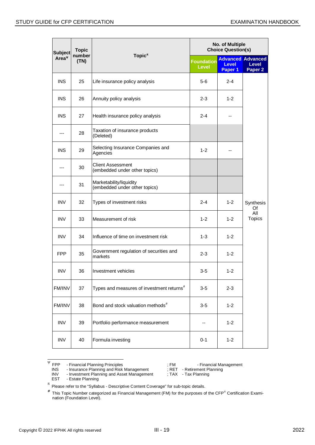| <b>Subject</b> | <b>Topic</b>   |                                                           | No. of Multiple<br><b>Choice Question(s)</b> |                         |                                                                |
|----------------|----------------|-----------------------------------------------------------|----------------------------------------------|-------------------------|----------------------------------------------------------------|
| Area $\Psi$    | number<br>(TN) | Topic $\pi$                                               | <b>Foundation</b><br><b>Level</b>            | <b>Level</b><br>Paper 1 | <b>Advanced Advanced</b><br><b>Level</b><br>Paper <sub>2</sub> |
| <b>INS</b>     | 25             | Life insurance policy analysis                            | 5-6                                          | $2 - 4$                 |                                                                |
| <b>INS</b>     | 26             | Annuity policy analysis                                   | $2 - 3$                                      | $1 - 2$                 |                                                                |
| <b>INS</b>     | 27             | Health insurance policy analysis                          | $2 - 4$                                      |                         |                                                                |
|                | 28             | Taxation of insurance products<br>(Deleted)               |                                              |                         |                                                                |
| <b>INS</b>     | 29             | Selecting Insurance Companies and<br>Agencies             | $1 - 2$                                      |                         |                                                                |
|                | 30             | <b>Client Assessment</b><br>(embedded under other topics) |                                              |                         |                                                                |
|                | 31             | Marketability/liquidity<br>(embedded under other topics)  |                                              |                         |                                                                |
| <b>INV</b>     | 32             | Types of investment risks                                 | $2 - 4$                                      | $1 - 2$                 | Synthesis<br>Of                                                |
| <b>INV</b>     | 33             | Measurement of risk                                       | $1 - 2$                                      | $1 - 2$                 | All<br><b>Topics</b>                                           |
| <b>INV</b>     | 34             | Influence of time on investment risk                      | $1 - 3$                                      | $1 - 2$                 |                                                                |
| <b>FPP</b>     | 35             | Government regulation of securities and<br>markets        | $2 - 3$                                      | $1 - 2$                 |                                                                |
| <b>INV</b>     | 36             | Investment vehicles                                       | 3-5                                          | $1 - 2$                 |                                                                |
| FM/INV         | 37             | Types and measures of investment returns <sup>#</sup>     | $3-5$                                        | $2 - 3$                 |                                                                |
| FM/INV         | 38             | Bond and stock valuation methods <sup>#</sup>             | $3-5$                                        | $1 - 2$                 |                                                                |
| <b>INV</b>     | 39             | Portfolio performance measurement                         |                                              | $1 - 2$                 |                                                                |
| <b>INV</b>     | 40             | Formula investing                                         | $0 - 1$                                      | $1 - 2$                 |                                                                |

- EST Estate Planning
- INV Investment Planning and Asset Management ; TAX Tax Planning

<span id="page-18-0"></span> $W = VP$  - Financial Planning Principles<br>
INS - Insurance Planning and Risk Management ; RET - Retirement Planning INS - Insurance Planning and Risk Management ; RET - Retirement PINV - Investment Planning and Risk Management ; TAX - Tax Planning

 $π$  Please refer to the "Syllabus - Descriptive Content Coverage" for sub-topic details.

 $*$  This Topic Number categorized as Financial Management (FM) for the purposes of the CFP® Certification Examination (Foundation Level).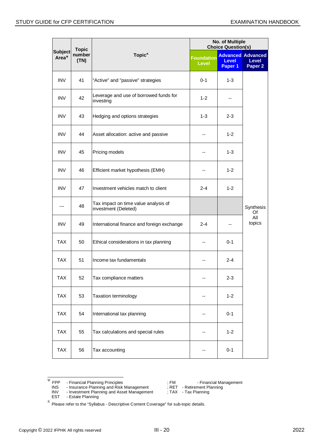| <b>Topic</b>                    |                |                                                              | No. of Multiple<br><b>Choice Question(s)</b> |                         |                                                         |
|---------------------------------|----------------|--------------------------------------------------------------|----------------------------------------------|-------------------------|---------------------------------------------------------|
| <b>Subject</b><br>$Area^{\Psi}$ | number<br>(TN) | Topic $\pi$                                                  | <b>Foundation</b><br><b>Level</b>            | <b>Level</b><br>Paper 1 | <b>Advanced Advanced</b><br>Level<br>Paper <sub>2</sub> |
| <b>INV</b>                      | 41             | "Active" and "passive" strategies                            | $0 - 1$                                      | $1 - 3$                 |                                                         |
| <b>INV</b>                      | 42             | Leverage and use of borrowed funds for<br>investing          | $1 - 2$                                      |                         |                                                         |
| <b>INV</b>                      | 43             | Hedging and options strategies                               | $1 - 3$                                      | $2 - 3$                 |                                                         |
| <b>INV</b>                      | 44             | Asset allocation: active and passive                         |                                              | $1 - 2$                 |                                                         |
| <b>INV</b>                      | 45             | Pricing models                                               | --                                           | $1 - 3$                 |                                                         |
| <b>INV</b>                      | 46             | Efficient market hypothesis (EMH)                            | --                                           | $1 - 2$                 |                                                         |
| <b>INV</b>                      | 47             | Investment vehicles match to client                          | $2 - 4$                                      | $1 - 2$                 |                                                         |
| ---                             | 48             | Tax impact on time value analysis of<br>investment (Deleted) |                                              |                         | Synthesis<br>Of                                         |
| <b>INV</b>                      | 49             | International finance and foreign exchange                   | $2 - 4$                                      |                         | All<br>topics                                           |
| <b>TAX</b>                      | 50             | Ethical considerations in tax planning                       |                                              | $0 - 1$                 |                                                         |
| <b>TAX</b>                      | 51             | Income tax fundamentals                                      | --                                           | $2 - 4$                 |                                                         |
| <b>TAX</b>                      | 52             | Tax compliance matters                                       |                                              | $2 - 3$                 |                                                         |
| <b>TAX</b>                      | 53             | Taxation terminology                                         |                                              | $1 - 2$                 |                                                         |
| <b>TAX</b>                      | 54             | International tax planning                                   |                                              | $0 - 1$                 |                                                         |
| <b>TAX</b>                      | 55             | Tax calculations and special rules                           |                                              | $1 - 2$                 |                                                         |
| <b>TAX</b>                      | 56             | Tax accounting                                               |                                              | $0 - 1$                 |                                                         |

<span id="page-19-0"></span> $\frac{W}{\phi}$  FPP - Financial Planning Principles  $\frac{W}{\phi}$ ; FM - Financial Management

- 
- INV Investment Planning and Asset Management ; TAX Tax Planning EST - Estate Planning

INS - Insurance Planning and Risk Management ; RET - Retirement Planning

 $π$  Please refer to the "Syllabus - Descriptive Content Coverage" for sub-topic details.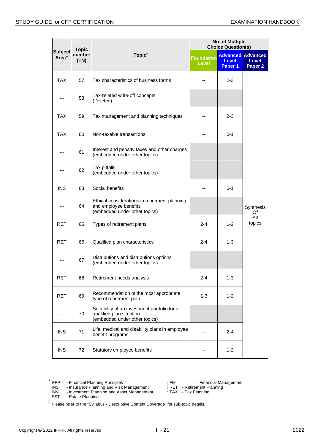|                                     | <b>Topic</b>   |                                                                                                           |                            | No. of Multiple<br><b>Choice Question(s)</b> |                                                                |
|-------------------------------------|----------------|-----------------------------------------------------------------------------------------------------------|----------------------------|----------------------------------------------|----------------------------------------------------------------|
| <b>Subject</b><br>Area <sup>v</sup> | number<br>(TN) | Topic $\pi$                                                                                               | <b>Foundation</b><br>Level | <b>Level</b><br>Paper 1                      | <b>Advanced Advanced</b><br><b>Level</b><br>Paper <sub>2</sub> |
| TAX                                 | 57             | Tax characteristics of business forms                                                                     |                            | $2 - 3$                                      |                                                                |
|                                     | 58             | Tax-related write-off concepts<br>(Deleted)                                                               |                            |                                              |                                                                |
| <b>TAX</b>                          | 59             | Tax management and planning techniques                                                                    |                            | 2-3                                          |                                                                |
| TAX                                 | 60             | Non-taxable transactions                                                                                  |                            | $0 - 1$                                      |                                                                |
| ---                                 | 61             | Interest and penalty taxes and other charges<br>(embedded under other topics)                             |                            |                                              |                                                                |
|                                     | 62             | Tax pitfalls<br>(embedded under other topics)                                                             |                            |                                              |                                                                |
| <b>INS</b>                          | 63             | Social benefits                                                                                           |                            | $0 - 1$                                      |                                                                |
|                                     | 64             | Ethical considerations in retirement planning<br>and employee benefits<br>(embedded under other topics)   |                            |                                              | Synthesis<br>Of                                                |
| <b>RET</b>                          | 65             | Types of retirement plans                                                                                 | $2 - 4$                    | $1 - 2$                                      | All<br>topics                                                  |
| RET                                 | 66             | Qualified plan characteristics                                                                            | $2 - 4$                    | $1 - 3$                                      |                                                                |
| ---                                 | 67             | Distributions and distributions options<br>(embedded under other topics)                                  |                            |                                              |                                                                |
| <b>RET</b>                          | 68             | Retirement needs analysis                                                                                 | 2-4                        | $1 - 3$                                      |                                                                |
| <b>RET</b>                          | 69             | Recommendation of the most appropriate<br>type of retirement plan                                         | $1 - 3$                    | $1 - 2$                                      |                                                                |
| ---                                 | 70             | Suitability of an investment portfolio for a<br>qualified plan situation<br>(embedded under other topics) |                            |                                              |                                                                |
| <b>INS</b>                          | 71             | Life, medical and disability plans in employee<br>benefit programs                                        |                            | $2 - 4$                                      |                                                                |
| <b>INS</b>                          | 72             | Statutory employee benefits                                                                               |                            | $1 - 2$                                      |                                                                |

<span id="page-20-0"></span> $\frac{W}{\phi}$  FPP - Financial Planning Principles  $\frac{W}{\phi}$ ; FM - Financial Management

INS - Insurance Planning and Risk Management ; RET - Retirement Planning

- 
- INV Investment Planning and Asset Management ; TAX Tax Planning

EST - Estate Planning

 $π$  Please refer to the "Syllabus - Descriptive Content Coverage" for sub-topic details.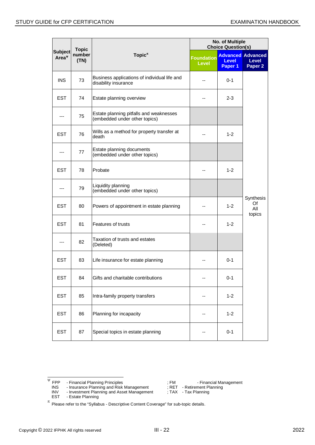| <b>Topic</b>             |                |                                                                          | No. of Multiple<br><b>Choice Question(s)</b> |                         |                                                                |
|--------------------------|----------------|--------------------------------------------------------------------------|----------------------------------------------|-------------------------|----------------------------------------------------------------|
| Subject<br>$Area^{\Psi}$ | number<br>(TN) | Topic $\pi$                                                              | <b>Foundation</b><br><b>Level</b>            | <b>Level</b><br>Paper 1 | <b>Advanced Advanced</b><br><b>Level</b><br>Paper <sub>2</sub> |
| <b>INS</b>               | 73             | Business applications of individual life and<br>disability insurance     |                                              | $0 - 1$                 |                                                                |
| <b>EST</b>               | 74             | Estate planning overview                                                 | --                                           | $2 - 3$                 |                                                                |
| ---                      | 75             | Estate planning pitfalls and weaknesses<br>(embedded under other topics) |                                              |                         |                                                                |
| <b>EST</b>               | 76             | Wills as a method for property transfer at<br>death                      |                                              | $1 - 2$                 |                                                                |
| ---                      | 77             | Estate planning documents<br>(embedded under other topics)               |                                              |                         |                                                                |
| <b>EST</b>               | 78             | Probate                                                                  |                                              | $1 - 2$                 |                                                                |
|                          | 79             | Liquidity planning<br>(embedded under other topics)                      |                                              |                         |                                                                |
| <b>EST</b>               | 80             | Powers of appointment in estate planning                                 |                                              | $1 - 2$                 | Synthesis<br>Of<br>All<br>topics                               |
| <b>EST</b>               | 81             | <b>Features of trusts</b>                                                |                                              | 1-2                     |                                                                |
| ---                      | 82             | Taxation of trusts and estates<br>(Deleted)                              |                                              |                         |                                                                |
| <b>EST</b>               | 83             | Life insurance for estate planning                                       |                                              | 0-1                     |                                                                |
| <b>EST</b>               | 84             | Gifts and charitable contributions                                       |                                              | $0 - 1$                 |                                                                |
| <b>EST</b>               | 85             | Intra-family property transfers                                          |                                              | $1 - 2$                 |                                                                |
| <b>EST</b>               | 86             | Planning for incapacity                                                  |                                              | $1 - 2$                 |                                                                |
| <b>EST</b>               | 87             | Special topics in estate planning                                        |                                              | $0 - 1$                 |                                                                |

<span id="page-21-0"></span> $\frac{W}{\phi}$  FPP - Financial Planning Principles  $\frac{W}{\phi}$ ; FM - Financial Management

INS - Insurance Planning and Risk Management ; RET - Retirement Planning

EST - Estate Planning

INV - Investment Planning and Asset Management ; TAX - Tax Planning

 $π$  Please refer to the "Syllabus - Descriptive Content Coverage" for sub-topic details.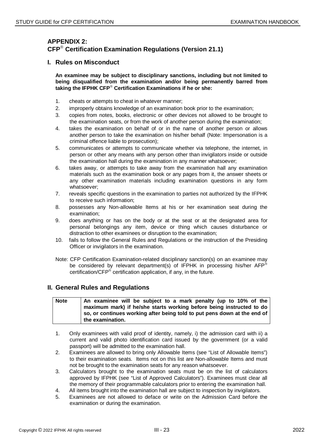# **APPENDIX 2: CFP Certification Examination Regulations (Version 21.1)**

#### **I. Rules on Misconduct**

**An examinee may be subject to disciplinary sanctions, including but not limited to being disqualified from the examination and/or being permanently barred from**  taking the **IFPHK CFP<sup>®</sup> Certification Examinations if he or she:** 

- 1. cheats or attempts to cheat in whatever manner;
- 2. improperly obtains knowledge of an examination book prior to the examination;
- 3. copies from notes, books, electronic or other devices not allowed to be brought to the examination seats, or from the work of another person during the examination;
- 4. takes the examination on behalf of or in the name of another person or allows another person to take the examination on his/her behalf (Note: Impersonation is a criminal offence liable to prosecution);
- 5. communicates or attempts to communicate whether via telephone, the internet, in person or other any means with any person other than invigilators inside or outside the examination hall during the examination in any manner whatsoever;
- 6. takes away, or attempts to take away from the examination hall any examination materials such as the examination book or any pages from it, the answer sheets or any other examination materials including examination questions in any form whatsoever;
- 7. reveals specific questions in the examination to parties not authorized by the IFPHK to receive such information;
- 8. possesses any Non-allowable Items at his or her examination seat during the examination;
- 9. does anything or has on the body or at the seat or at the designated area for personal belongings any item, device or thing which causes disturbance or distraction to other examinees or disruption to the examination;
- 10. fails to follow the General Rules and Regulations or the instruction of the Presiding Officer or invigilators in the examination.
- Note: CFP Certification Examination-related disciplinary sanction(s) on an examinee may be considered by relevant department(s) of IFPHK in processing his/her AFP<sup>®</sup> certification/ $CFP^*$  certification application, if any, in the future.

#### **II. General Rules and Regulations**

| <b>Note</b> | An examinee will be subject to a mark penalty (up to 10% of the          |
|-------------|--------------------------------------------------------------------------|
|             | maximum mark) if he/she starts working before being instructed to do     |
|             | so, or continues working after being told to put pens down at the end of |
|             | the examination.                                                         |

- 1. Only examinees with valid proof of identity, namely, i) the admission card with ii) a current and valid photo identification card issued by the government (or a valid passport) will be admitted to the examination hall.
- 2. Examinees are allowed to bring only Allowable Items (see "List of Allowable Items") to their examination seats. Items not on this list are Non-allowable Items and must not be brought to the examination seats for any reason whatsoever.
- 3. Calculators brought to the examination seats must be on the list of calculators approved by IFPHK (see "List of Approved Calculators"). Examinees must clear all the memory of their programmable calculators prior to entering the examination hall.
- 4. All items brought into the examination hall are subject to inspection by invigilators.
- 5. Examinees are not allowed to deface or write on the Admission Card before the examination or during the examination.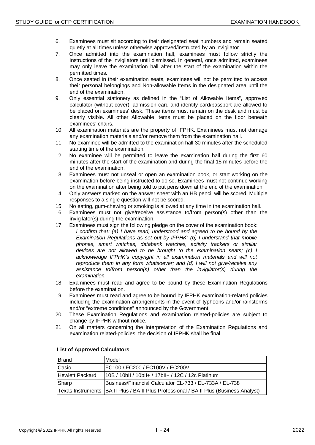- 6. Examinees must sit according to their designated seat numbers and remain seated quietly at all times unless otherwise approved/instructed by an invigilator.
- 7. Once admitted into the examination hall, examinees must follow strictly the instructions of the invigilators until dismissed. In general, once admitted, examinees may only leave the examination hall after the start of the examination within the permitted times.
- 8. Once seated in their examination seats, examinees will not be permitted to access their personal belongings and Non-allowable Items in the designated area until the end of the examination.
- 9. Only essential stationery as defined in the "List of Allowable Items", approved calculator (without cover), admission card and identity card/passport are allowed to be placed on examinees' desk. These items must remain on the desk and must be clearly visible. All other Allowable Items must be placed on the floor beneath examinees' chairs.
- 10. All examination materials are the property of IFPHK. Examinees must not damage any examination materials and/or remove them from the examination hall.
- 11. No examinee will be admitted to the examination hall 30 minutes after the scheduled starting time of the examination.
- 12. No examinee will be permitted to leave the examination hall during the first 60 minutes after the start of the examination and during the final 15 minutes before the end of the examination.
- 13. Examinees must not unseal or open an examination book, or start working on the examination before being instructed to do so. Examinees must not continue working on the examination after being told to put pens down at the end of the examination.
- 14. Only answers marked on the answer sheet with an HB pencil will be scored. Multiple responses to a single question will not be scored.
- 15. No eating, gum-chewing or smoking is allowed at any time in the examination hall.
- 16. Examinees must not give/receive assistance to/from person(s) other than the invigilator(s) during the examination.
- 17. Examinees must sign the following pledge on the cover of the examination book: *I* confirm that: (a) *I* have read, understood and agreed to be bound by the *Examination Regulations as set out by IFPHK; (b) I understand that mobile phones, smart watches, databank watches, activity trackers or similar devices are not allowed to be brought to the examination seats; (c) I acknowledge IFPHK's copyright in all examination materials and will not reproduce them in any form whatsoever; and (d) I will not give/receive any assistance to/from person(s) other than the invigilator(s) during the examination.*
- 18. Examinees must read and agree to be bound by these Examination Regulations before the examination.
- 19. Examinees must read and agree to be bound by IFPHK examination-related policies including the examination arrangements in the event of typhoons and/or rainstorms and/or "extreme conditions" announced by the Government.
- 20. These Examination Regulations and examination related-policies are subject to change by IFPHK without notice.
- 21. On all matters concerning the interpretation of the Examination Regulations and examination related-policies, the decision of IFPHK shall be final.

| Brand                  | Model                                                                                    |
|------------------------|------------------------------------------------------------------------------------------|
| Casio                  | FC100 / FC200 / FC100V / FC200V                                                          |
| <b>Hewlett Packard</b> | 10B / 10bll / 10bll+ / 17bll+ / 12C / 12c Platinum                                       |
| Sharp                  | Business/Financial Calculator EL-733 / EL-733A / EL-738                                  |
|                        | Texas Instruments   BA II Plus / BA II Plus Professional / BA II Plus (Business Analyst) |

#### **List of Approved Calculators**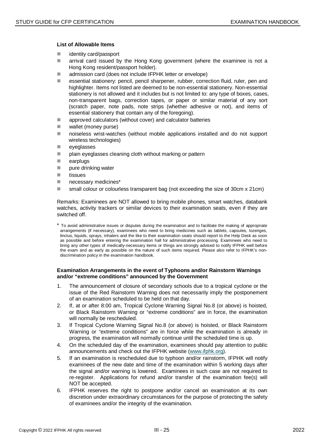#### **List of Allowable Items**

- identity card/passport
- **a** arrival card issued by the Hong Kong government (where the examinee is not a Hong Kong resident/passport holder).
- admission card (does not include IFPHK letter or envelope)
- essential stationery: pencil, pencil sharpener, rubber, correction fluid, ruler, pen and highlighter. Items not listed are deemed to be non-essential stationery. Non-essential stationery is not allowed and it includes but is not limited to: any type of boxes, cases, non-transparent bags, correction tapes, or paper or similar material of any sort (scratch paper, note pads, note strips (whether adhesive or not), and items of essential stationery that contain any of the foregoing).
- approved calculators (without cover) and calculator batteries
- **wallet (money purse)**
- **noiseless wrist-watches (without mobile applications installed and do not support** wireless technologies)
- **eyeglasses**
- plain eyeglasses cleaning cloth without marking or pattern
- **E** earplugs
- **pure drinking water**
- $\blacksquare$  tissues
- **necessary medicines\***
- small colour or colourless transparent bag (not exceeding the size of 30cm x 21cm)

Remarks: Examinees are NOT allowed to bring mobile phones, smart watches, databank watches, activity trackers or similar devices to their examination seats, even if they are switched off.

\* To avoid administrative issues or disputes during the examination and to facilitate the making of appropriate arrangements (if necessary), examinees who need to bring medicines such as tablets, capsules, lozenges, linctus, liquids, sprays, inhalers and the like to their examination seats should report to the Help Desk as soon as possible and before entering the examination hall for administrative processing. Examinees who need to bring any other types of medically-necessary items or things are strongly advised to notify IFPHK well before the exam and as early as possible on the nature of such items required. Please also refer to IFPHK's nondiscrimination policy in the examination handbook.

#### **Examination Arrangements in the event of Typhoons and/or Rainstorm Warnings and/or "extreme conditions" announced by the Government**

- 1. The announcement of closure of secondary schools due to a tropical cyclone or the issue of the Red Rainstorm Warning does not necessarily imply the postponement of an examination scheduled to be held on that day.
- 2. If, at or after 8:00 am, Tropical Cyclone Warning Signal No.8 (or above) is hoisted, or Black Rainstorm Warning or "extreme conditions" are in force, the examination will normally be rescheduled.
- 3. If Tropical Cyclone Warning Signal No.8 (or above) is hoisted, or Black Rainstorm Warning or "extreme conditions" are in force while the examination is already in progress, the examination will normally continue until the scheduled time is up.
- 4. On the scheduled day of the examination, examinees should pay attention to public announcements and check out the IFPHK website [\(www.ifphk.org\)](http://www.ifphk.org/).
- 5. If an examination is rescheduled due to typhoon and/or rainstorm, IFPHK will notify examinees of the new date and time of the examination within 5 working days after the signal and/or warning is lowered. Examinees in such case are not required to re-register. Applications for refund and/or transfer of the examination fee(s) will NOT be accepted.
- 6. IFPHK reserves the right to postpone and/or cancel an examination at its own discretion under extraordinary circumstances for the purpose of protecting the safety of examinees and/or the integrity of the examination.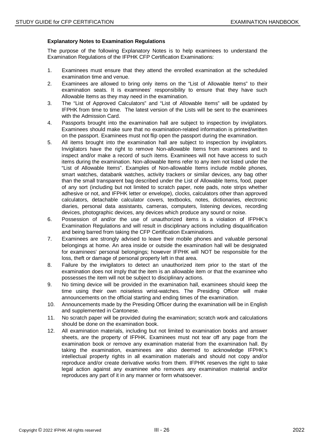#### **Explanatory Notes to Examination Regulations**

The purpose of the following Explanatory Notes is to help examinees to understand the Examination Regulations of the IFPHK CFP Certification Examinations:

- 1. Examinees must ensure that they attend the enrolled examination at the scheduled examination time and venue.
- 2. Examinees are allowed to bring only items on the "List of Allowable Items" to their examination seats. It is examinees' responsibility to ensure that they have such Allowable Items as they may need in the examination.
- 3. The "List of Approved Calculators" and "List of Allowable Items" will be updated by IFPHK from time to time. The latest version of the Lists will be sent to the examinees with the Admission Card.
- 4. Passports brought into the examination hall are subject to inspection by invigilators. Examinees should make sure that no examination-related information is printed/written on the passport. Examinees must not flip open the passport during the examination.
- 5. All items brought into the examination hall are subject to inspection by invigilators. Invigilators have the right to remove Non-allowable Items from examinees and to inspect and/or make a record of such items. Examinees will not have access to such items during the examination. Non-allowable Items refer to any item not listed under the "List of Allowable Items". Examples of Non-allowable Items include mobile phones, smart watches, databank watches, activity trackers or similar devices, any bag other than the small transparent bag described under the List of Allowable Items, food, paper of any sort (including but not limited to scratch paper, note pads, note strips whether adhesive or not, and IFPHK letter or envelope), clocks, calculators other than approved calculators, detachable calculator covers, textbooks, notes, dictionaries, electronic diaries, personal data assistants, cameras, computers, listening devices, recording devices, photographic devices, any devices which produce any sound or noise.
- 6. Possession of and/or the use of unauthorized items is a violation of IFPHK's Examination Regulations and will result in disciplinary actions including disqualification and being barred from taking the CFP Certification Examinations.
- 7. Examinees are strongly advised to leave their mobile phones and valuable personal belongings at home. An area inside or outside the examination hall will be designated for examinees' personal belongings; however IFPHK will NOT be responsible for the loss, theft or damage of personal property left in that area.
- 8. Failure by the invigilators to detect an unauthorized item prior to the start of the examination does not imply that the item is an allowable item or that the examinee who possesses the item will not be subject to disciplinary actions.
- 9. No timing device will be provided in the examination hall, examinees should keep the time using their own noiseless wrist-watches. The Presiding Officer will make announcements on the official starting and ending times of the examination.
- 10. Announcements made by the Presiding Officer during the examination will be in English and supplemented in Cantonese.
- 11. No scratch paper will be provided during the examination; scratch work and calculations should be done on the examination book.
- 12. All examination materials, including but not limited to examination books and answer sheets, are the property of IFPHK. Examinees must not tear off any page from the examination book or remove any examination material from the examination hall. By taking the examination, examinees are also deemed to acknowledge IFPHK's intellectual property rights in all examination materials and should not copy and/or reproduce and/or create derivative works from them. IFPHK reserves the right to take legal action against any examinee who removes any examination material and/or reproduces any part of it in any manner or form whatsoever.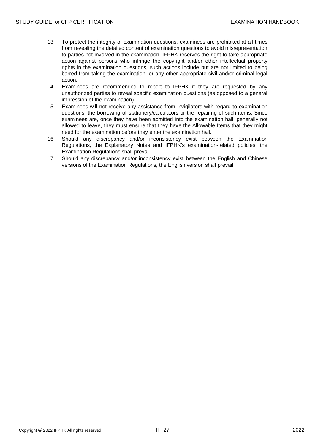- 13. To protect the integrity of examination questions, examinees are prohibited at all times from revealing the detailed content of examination questions to avoid misrepresentation to parties not involved in the examination. IFPHK reserves the right to take appropriate action against persons who infringe the copyright and/or other intellectual property rights in the examination questions, such actions include but are not limited to being barred from taking the examination, or any other appropriate civil and/or criminal legal action.
- 14. Examinees are recommended to report to IFPHK if they are requested by any unauthorized parties to reveal specific examination questions (as opposed to a general impression of the examination).
- 15. Examinees will not receive any assistance from invigilators with regard to examination questions, the borrowing of stationery/calculators or the repairing of such items. Since examinees are, once they have been admitted into the examination hall, generally not allowed to leave, they must ensure that they have the Allowable Items that they might need for the examination before they enter the examination hall.
- 16. Should any discrepancy and/or inconsistency exist between the Examination Regulations, the Explanatory Notes and IFPHK's examination-related policies, the Examination Regulations shall prevail.
- 17. Should any discrepancy and/or inconsistency exist between the English and Chinese versions of the Examination Regulations, the English version shall prevail.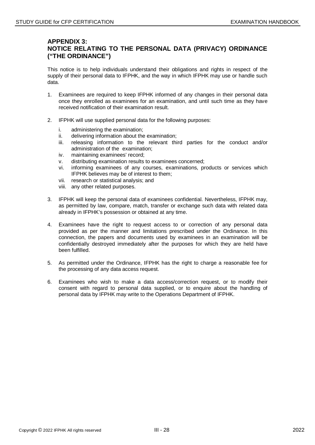## **APPENDIX 3: NOTICE RELATING TO THE PERSONAL DATA (PRIVACY) ORDINANCE ("THE ORDINANCE")**

This notice is to help individuals understand their obligations and rights in respect of the supply of their personal data to IFPHK, and the way in which IFPHK may use or handle such data.

- 1. Examinees are required to keep IFPHK informed of any changes in their personal data once they enrolled as examinees for an examination, and until such time as they have received notification of their examination result.
- 2. IFPHK will use supplied personal data for the following purposes:
	- i. administering the examination;
	- ii. delivering information about the examination;
	- iii. releasing information to the relevant third parties for the conduct and/or administration of the examination;
	- iv. maintaining examinees' record;
	- v. distributing examination results to examinees concerned;
	- vi. informing examinees of any courses, examinations, products or services which IFPHK believes may be of interest to them;
	- vii. research or statistical analysis; and
	- viii. any other related purposes.
- 3. IFPHK will keep the personal data of examinees confidential. Nevertheless, IFPHK may, as permitted by law, compare, match, transfer or exchange such data with related data already in IFPHK's possession or obtained at any time.
- 4. Examinees have the right to request access to or correction of any personal data provided as per the manner and limitations prescribed under the Ordinance. In this connection, the papers and documents used by examinees in an examination will be confidentially destroyed immediately after the purposes for which they are held have been fulfilled.
- 5. As permitted under the Ordinance, IFPHK has the right to charge a reasonable fee for the processing of any data access request.
- 6. Examinees who wish to make a data access/correction request, or to modify their consent with regard to personal data supplied, or to enquire about the handling of personal data by IFPHK may write to the Operations Department of IFPHK.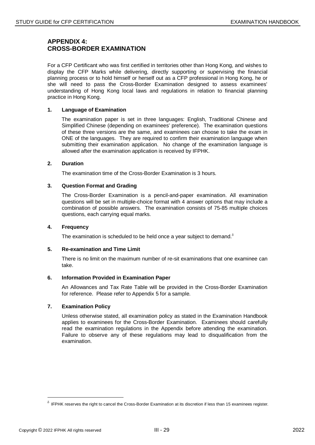## **APPENDIX 4: CROSS-BORDER EXAMINATION**

For a CFP Certificant who was first certified in territories other than Hong Kong, and wishes to display the CFP Marks while delivering, directly supporting or supervising the financial planning process or to hold himself or herself out as a CFP professional in Hong Kong, he or she will need to pass the Cross-Border Examination designed to assess examinees' understanding of Hong Kong local laws and regulations in relation to financial planning practice in Hong Kong.

#### **1. Language of Examination**

The examination paper is set in three languages: English, Traditional Chinese and Simplified Chinese (depending on examinees' preference). The examination questions of these three versions are the same, and examinees can choose to take the exam in ONE of the languages. They are required to confirm their examination language when submitting their examination application. No change of the examination language is allowed after the examination application is received by IFPHK.

#### **2. Duration**

The examination time of the Cross-Border Examination is 3 hours.

#### **3. Question Format and Grading**

The Cross-Border Examination is a pencil-and-paper examination. All examination questions will be set in multiple-choice format with 4 answer options that may include a combination of possible answers. The examination consists of 75-85 multiple choices questions, each carrying equal marks.

#### **4. Frequency**

The examination is scheduled to be held once a year subject to demand. $\delta$ 

#### **5. Re-examination and Time Limit**

There is no limit on the maximum number of re-sit examinations that one examinee can take.

#### **6. Information Provided in Examination Paper**

An Allowances and Tax Rate Table will be provided in the Cross-Border Examination for reference. Please refer to Appendix 5 for a sample.

#### **7. Examination Policy**

Unless otherwise stated, all examination policy as stated in the Examination Handbook applies to examinees for the Cross-Border Examination. Examinees should carefully read the examination regulations in the Appendix before attending the examination. Failure to observe any of these regulations may lead to disqualification from the examination.

 $\overline{a}$ 

<span id="page-28-0"></span> $\delta$  IFPHK reserves the right to cancel the Cross-Border Examination at its discretion if less than 15 examinees register.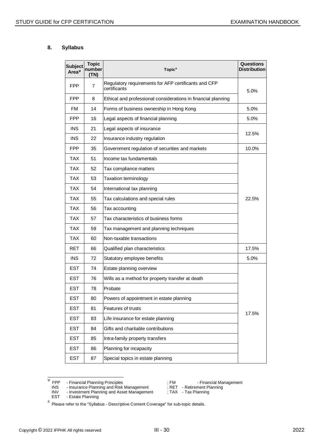#### **8. Syllabus**

| <b>Subject</b><br>Area <sup>v</sup> | <b>Topic</b><br>number<br>(TN) | Topic <sup>"</sup>                                                   | <b>Questions</b><br>Distribution |
|-------------------------------------|--------------------------------|----------------------------------------------------------------------|----------------------------------|
| <b>FPP</b>                          | 7                              | Regulatory requirements for AFP certificants and CFP<br>certificants | 5.0%                             |
| <b>FPP</b>                          | 8                              | Ethical and professional considerations in financial planning        |                                  |
| FM                                  | 14                             | Forms of business ownership in Hong Kong                             | 5.0%                             |
| <b>FPP</b>                          | 16                             | Legal aspects of financial planning                                  | 5.0%                             |
| <b>INS</b>                          | 21                             | Legal aspects of insurance                                           |                                  |
| <b>INS</b>                          | 22                             | Insurance industry regulation                                        | 12.5%                            |
| <b>FPP</b>                          | 35                             | Government regulation of securities and markets                      | 10.0%                            |
| <b>TAX</b>                          | 51                             | Income tax fundamentals                                              |                                  |
| <b>TAX</b>                          | 52                             | Tax compliance matters                                               |                                  |
| TAX                                 | 53                             | <b>Taxation terminology</b>                                          |                                  |
| <b>TAX</b>                          | 54                             | International tax planning                                           |                                  |
| <b>TAX</b>                          | 55                             | Tax calculations and special rules                                   | 22.5%                            |
| <b>TAX</b>                          | 56                             | Tax accounting                                                       |                                  |
| <b>TAX</b>                          | 57                             | Tax characteristics of business forms                                |                                  |
| <b>TAX</b>                          | 59                             | Tax management and planning techniques                               |                                  |
| <b>TAX</b>                          | 60                             | Non-taxable transactions                                             |                                  |
| RET                                 | 66                             | Qualified plan characteristics                                       | 17.5%                            |
| <b>INS</b>                          | 72                             | Statutory employee benefits                                          | 5.0%                             |
| <b>EST</b>                          | 74                             | Estate planning overview                                             |                                  |
| <b>EST</b>                          | 76                             | Wills as a method for property transfer at death                     |                                  |
| <b>EST</b>                          | 78                             | Probate                                                              |                                  |
| <b>EST</b>                          | 80                             | Powers of appointment in estate planning                             |                                  |
| EST                                 | 81                             | Features of trusts                                                   | 17.5%                            |
| <b>EST</b>                          | 83                             | Life insurance for estate planning                                   |                                  |
| <b>EST</b>                          | 84                             | Gifts and charitable contributions                                   |                                  |
| <b>EST</b>                          | 85                             | Intra-family property transfers                                      |                                  |
| <b>EST</b>                          | 86                             | Planning for incapacity                                              |                                  |
| <b>EST</b>                          | 87                             | Special topics in estate planning                                    |                                  |

<span id="page-29-0"></span>W FPP - Financial Planning Principles<br>
INS - Insurance Planning and Risk Management ; RET - Retirement Planning<br>
INV - Investment Planning and Asset Management ; TAX - Tax Planning INS - Insurance Planning and Risk Management ; RET - Retirement Planning

INV - Investment Planning and Asset Management ; TAX - Tax Planning

EST - Estate Planning

 $π$  Please refer to the "Syllabus - Descriptive Content Coverage" for sub-topic details.